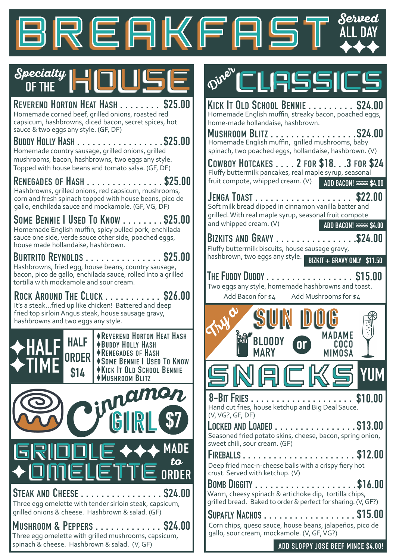

**Diner** 



**REVEREND HORTON HEAT HASH . . . . . . . . \$25.00**<br>Homemade corned beef, grilled onions, roasted red capsicum, hashbrowns, diced bacon, secret spices, hot sauce & two eggs any style. (GF, DF)

**BUDDY HOLLY HASH . . . . . . . . . . . . . . . . .\$25.00** Homemade country sausage, grilled onions, grilled mushrooms, bacon, hashbrowns, two eggs any style.

Hashbrowns, grilled onions, red capsicum, mushrooms, corn and fresh spinach topped with house beans, pico de gallo, enchilada sauce and mockamole. (GF, VG, DF) **RENEGADES OF HASH . . . . . . . . . . . . . . . \$25.00**

**SOME BENNIE I USED TO KNOW . . . . . . . .\$25.00** Homemade English muffin, spicy pulled pork, enchilada sauce one side, verde sauce other side, poached eggs, house made hollandaise, hashbrown.

Hashbrowns, fried egg, house beans, country sausage, bacon, pico de gallo, enchilada sauce, rolled into a grilled tortilla with mockamole and sour cream. **BURTRITO REYNOLDS . . . . . . . . . . . . . . . \$25.00**

**ROCK AROUND THE CLUCK . . . . . . . . . . . \$26.00** It's a steak...fried up like chicken! Battered and deep fried top sirloin Angus steak, house sausage gravy, hashbrowns and two eggs any style.



**REVEREND HORTON HEAT HASH BUDDY HOLLY HASH RENEGADES OF HASH SOME BENNIE I USED TO KNOW KICK IT OLD SCHOOL BENNIE MUSHROOM BLITZ**



spinach & cheese. Hashbrown & salad. (V, GF)



CLASSICS

 $Add\,Bacon\,for\, $4.$   $Add\,Mushroms\,for\, $4.$ 

| <b>MARY</b><br><b>MIMOSA</b>                                     |                                          |
|------------------------------------------------------------------|------------------------------------------|
| <b>MADAME</b><br><b>om</b><br><b>BLOODY</b><br>COCO              | $\mathbf{e}^*_{\mathbf{e}}$ .<br>$\circ$ |
|                                                                  | $\circ$                                  |
| $1.00$ Ducon $0.44$<br>$1.00$ $1.00$ $1.00$ $1.00$ $1.00$ $1.00$ |                                          |

Hand cut fries, house ketchup and Big Deal Sauce. (V, VG?, GF, DF) **8-BIT FRIES . . . . . . . . . . . . . . . . . . . . \$10.00**

SNACKS**YUM**

Seasoned fried potato skins, cheese, bacon, spring onion, sweet chili, sour cream. (GF) **LOCKED AND LOADED** . . . . . . . . . . . . . . . . \$13.00

**FIREBALLS . . . . . . . . . . . . . . . . . . . . . . \$12.00** Deep fried mac-n-cheese balls with a crispy fiery hot crust. Served with ketchup. (V)

**BOMB DIGGITY . . . . . . . . . . . . . . . . . . . .** Warm, cheesy spinach & artichoke dip, tortilla chips, **\$16.00** grilled bread. Baked to order & perfect for sharing. (V, GF?)

| SUPAFLY NACHOS \$15.00                                                                                 |  |
|--------------------------------------------------------------------------------------------------------|--|
| Corn chips, queso sauce, house beans, jalapeños, pico de<br>gallo, sour cream, mockamole. (V, GF, VG?) |  |

**ADD SLOPPY JOSÉ BEEF MINCE \$4.00!**